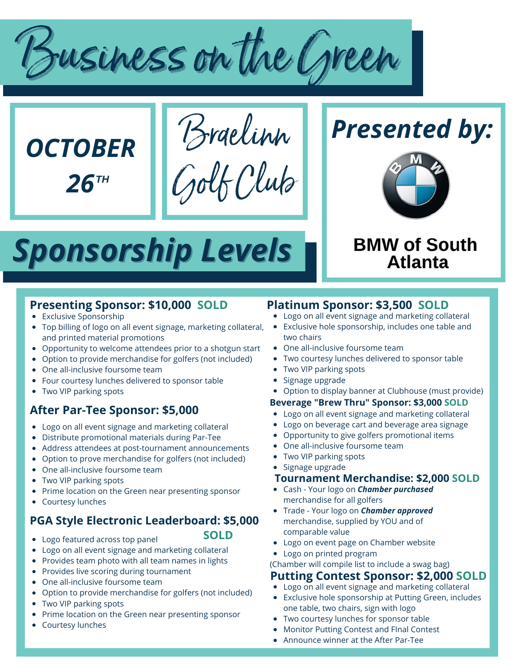Businesson the Green



Braelinn Golf Club





# **BMW of South Atlanta**

# *Sponsorship Levels*

# **Presenting Sponsor: \$10,000 SOLD**

- Exclusive Sponsorship
- Top billing of logo on all event signage, marketing collateral, and printed material promotions
- Opportunity to welcome attendees prior to a shotgun start
- Option to provide merchandise for golfers (not included)
- One all-inclusive foursome team
- Four courtesy lunches delivered to sponsor table
- Two VIP parking spots

# **After Par-Tee Sponsor: \$5,000**

- Logo on all event signage and marketing collateral
- Distribute promotional materials during Par-Tee
- Address attendees at post-tournament announcements
- Option to prove merchandise for golfers (not included)
- One all-inclusive foursome team
- Two VIP parking spots
- Prime location on the Green near presenting sponsor
- Courtesy lunches

# **PGA Style Electronic Leaderboard: \$5,000**

**SOLD**

- Logo featured across top panel
- Logo on all event signage and marketing collateral
- Provides team photo with all team names in lights
- Provides live scoring during tournament
- One all-inclusive foursome team
- Option to provide merchandise for golfers (not included)
- Two VIP parking spots
- Prime location on the Green near presenting sponsor
- Courtesy lunches

# **Platinum Sponsor: \$3,500 SOLD**

- Logo on all event signage and marketing collateral
- Exclusive hole sponsorship, includes one table and two chairs
- One all-inclusive foursome team
- Two courtesy lunches delivered to sponsor table
- Two VIP parking spots
- Signage upgrade  $\bullet$
- Option to display banner at Clubhouse (must provide)

#### **Beverage "Brew Thru" Sponsor: \$3,000 SOLD**

- Logo on all event signage and marketing collateral
- Logo on beverage cart and beverage area signage
- Opportunity to give golfers promotional items
- One all-inclusive foursome team
- Two VIP parking spots
- Signage upgrade

#### **Tournament Merchandise: \$2,000 SOLD**

- Cash Your logo on *Chamber purchased* merchandise for all golfers
- Trade Your logo on *Chamber approved* merchandise, supplied by YOU and of comparable value
- Logo on event page on Chamber website
- Logo on printed program
- (Chamber will compile list to include a swag bag)

#### **Putting Contest Sponsor: \$2,000 SOLD**

- Logo on all event signage and marketing collateral
- Exclusive hole sponsorship at Putting Green, includes  $\bullet$ one table, two chairs, sign with logo
- Two courtesy lunches for sponsor table
- Monitor Putting Contest and FInal Contest
- Announce winner at the After Par-Tee